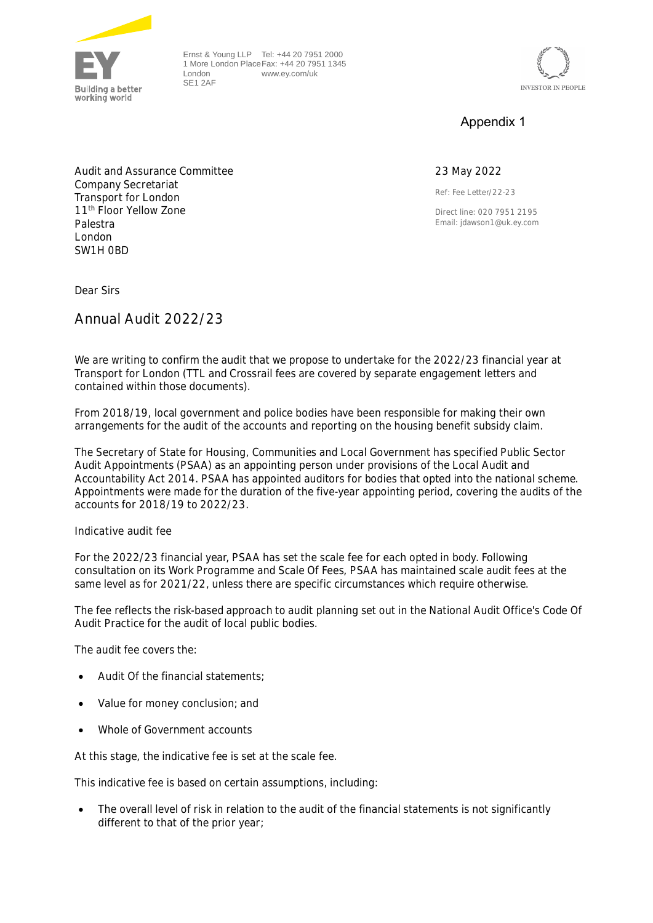

Ernst & Young LLP Tel: +44 20 7951 2000 1 More London Place Fax: +44 20 7951 1345 London SE1 2AF www.ey.com/uk



## Appendix 1

## 23 May 2022

Ref: Fee Letter/22-23

Direct line: 020 7951 2195 Email: jdawson1@uk.ey.com

Audit and Assurance Committee Company Secretariat Transport for London 11<sup>th</sup> Floor Yellow Zone Palestra London SW1H 0BD

Dear Sirs

**Annual Audit 2022/23**

We are writing to confirm the audit that we propose to undertake for the 2022/23 financial year at Transport for London (TTL and Crossrail fees are covered by separate engagement letters and contained within those documents).

From 2018/19, local government and police bodies have been responsible for making their own arrangements for the audit of the accounts and reporting on the housing benefit subsidy claim.

The Secretary of State for Housing, Communities and Local Government has specified Public Sector Audit Appointments (PSAA) as an appointing person under provisions of the Local Audit and Accountability Act 2014. PSAA has appointed auditors for bodies that opted into the national scheme. Appointments were made for the duration of the five-year appointing period, covering the audits of the accounts for 2018/19 to 2022/23.

**Indicative audit fee**

For the 2022/23 financial year, PSAA has set the scale fee for each opted in body. Following consultation on its Work Programme and Scale Of Fees, PSAA has maintained scale audit fees at the same level as for 2021/22, unless there are specific circumstances which require otherwise.

The fee reflects the risk-based approach to audit planning set out in the National Audit Office's Code Of Audit Practice for the audit of local public bodies.

The audit fee covers the:

- Audit Of the financial statements;
- Value for money conclusion; and
- Whole of Government accounts

At this stage, the indicative fee is set at the scale fee.

This indicative fee is based on certain assumptions, including:

 The overall level of risk in relation to the audit of the financial statements is not significantly different to that of the prior year;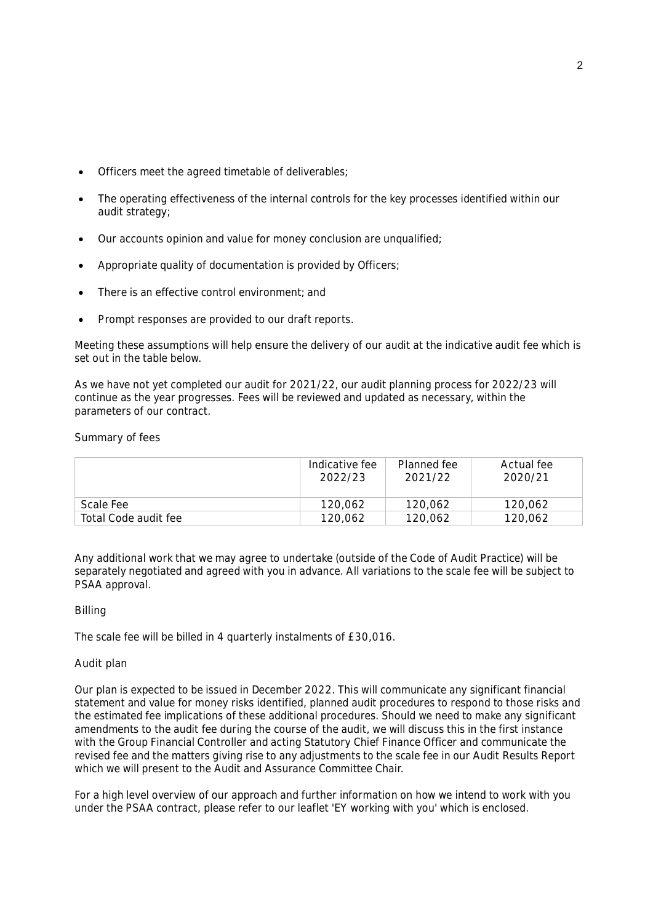- Officers meet the agreed timetable of deliverables;
- The operating effectiveness of the internal controls for the key processes identified within our audit strategy;
- Our accounts opinion and value for money conclusion are unqualified;
- Appropriate quality of documentation is provided by Officers;
- There is an effective control environment; and
- Prompt responses are provided to our draft reports.

Meeting these assumptions will help ensure the delivery of our audit at the indicative audit fee which is set out in the table below.

As we have not yet completed our audit for 2021/22, our audit planning process for 2022/23 will continue as the year progresses. Fees will be reviewed and updated as necessary, within the parameters of our contract.

**Summary of fees**

|                      | Indicative fee<br>2022/23 | Planned fee<br>2021/22 | Actual fee<br>2020/21 |
|----------------------|---------------------------|------------------------|-----------------------|
| Scale Fee            | 120.062                   | 120.062                | 120,062               |
| Total Code audit fee | 120.062                   | 120.062                | 120,062               |

Any additional work that we may agree to undertake (outside of the Code of Audit Practice) will be separately negotiated and agreed with you in advance. All variations to the scale fee will be subject to PSAA approval.

## **Billing**

The scale fee will be billed in 4 quarterly instalments of £30,016.

## **Audit plan**

Our plan is expected to be issued in December 2022. This will communicate any significant financial statement and value for money risks identified, planned audit procedures to respond to those risks and the estimated fee implications of these additional procedures. Should we need to make any significant amendments to the audit fee during the course of the audit, we will discuss this in the first instance with the Group Financial Controller and acting Statutory Chief Finance Officer and communicate the revised fee and the matters giving rise to any adjustments to the scale fee in our Audit Results Report which we will present to the Audit and Assurance Committee Chair.

For a high level overview of our approach and further information on how we intend to work with you under the PSAA contract, please refer to our leaflet 'EY working with you' which is enclosed.